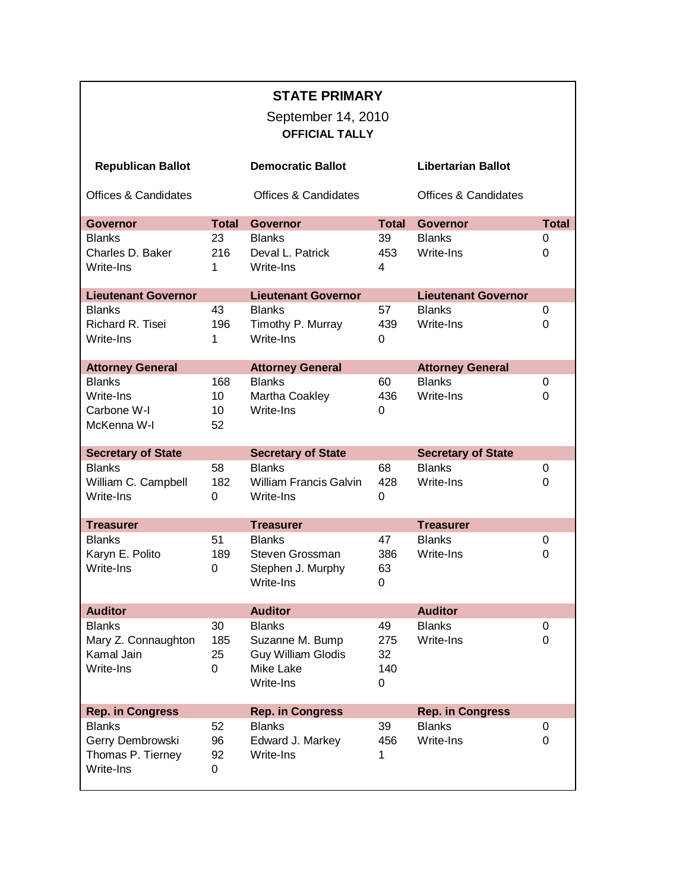| <b>STATE PRIMARY</b><br>September 14, 2010<br><b>OFFICIAL TALLY</b> |              |                                 |              |                                 |              |  |  |  |  |
|---------------------------------------------------------------------|--------------|---------------------------------|--------------|---------------------------------|--------------|--|--|--|--|
| <b>Republican Ballot</b>                                            |              | <b>Democratic Ballot</b>        |              | <b>Libertarian Ballot</b>       |              |  |  |  |  |
| <b>Offices &amp; Candidates</b>                                     |              | <b>Offices &amp; Candidates</b> |              | <b>Offices &amp; Candidates</b> |              |  |  |  |  |
| <b>Governor</b>                                                     | <b>Total</b> | <b>Governor</b>                 | <b>Total</b> | <b>Governor</b>                 | <b>Total</b> |  |  |  |  |
| <b>Blanks</b>                                                       | 23           | <b>Blanks</b>                   | 39           | <b>Blanks</b>                   | 0            |  |  |  |  |
| Charles D. Baker                                                    | 216          | Deval L. Patrick                | 453          | Write-Ins                       | 0            |  |  |  |  |
| Write-Ins                                                           | 1            | Write-Ins                       | 4            |                                 |              |  |  |  |  |
| <b>Lieutenant Governor</b>                                          |              | <b>Lieutenant Governor</b>      |              | <b>Lieutenant Governor</b>      |              |  |  |  |  |
| <b>Blanks</b>                                                       | 43           | <b>Blanks</b>                   | 57           | <b>Blanks</b>                   | 0            |  |  |  |  |
| Richard R. Tisei                                                    | 196          | Timothy P. Murray               | 439          | Write-Ins                       | 0            |  |  |  |  |
| Write-Ins                                                           | 1            | Write-Ins                       | 0            |                                 |              |  |  |  |  |
| <b>Attorney General</b>                                             |              | <b>Attorney General</b>         |              | <b>Attorney General</b>         |              |  |  |  |  |
| <b>Blanks</b>                                                       | 168          | <b>Blanks</b>                   | 60           | <b>Blanks</b>                   | 0            |  |  |  |  |
| Write-Ins                                                           | 10           | Martha Coakley                  | 436          | Write-Ins                       | 0            |  |  |  |  |
| Carbone W-I                                                         | 10           | Write-Ins                       | $\Omega$     |                                 |              |  |  |  |  |
| McKenna W-I                                                         | 52           |                                 |              |                                 |              |  |  |  |  |
|                                                                     |              |                                 |              |                                 |              |  |  |  |  |
| <b>Secretary of State</b>                                           |              | <b>Secretary of State</b>       |              | <b>Secretary of State</b>       |              |  |  |  |  |
| <b>Blanks</b>                                                       | 58           | <b>Blanks</b>                   | 68           | <b>Blanks</b>                   | 0            |  |  |  |  |
| William C. Campbell                                                 | 182          | <b>William Francis Galvin</b>   | 428          | Write-Ins                       | 0            |  |  |  |  |
| Write-Ins                                                           | $\Omega$     | Write-Ins                       | 0            |                                 |              |  |  |  |  |
|                                                                     |              |                                 |              |                                 |              |  |  |  |  |
| <b>Treasurer</b>                                                    |              | <b>Treasurer</b>                |              | <b>Treasurer</b>                |              |  |  |  |  |
| <b>Blanks</b>                                                       | 51           | <b>Blanks</b>                   | 47           | <b>Blanks</b>                   | 0            |  |  |  |  |
| Karyn E. Polito                                                     | 189          | Steven Grossman                 | 386          | Write-Ins                       | 0            |  |  |  |  |
| Write-Ins                                                           | 0            | Stephen J. Murphy               | 63           |                                 |              |  |  |  |  |
|                                                                     |              | Write-Ins                       | 0            |                                 |              |  |  |  |  |
|                                                                     |              |                                 |              |                                 |              |  |  |  |  |
| <b>Auditor</b>                                                      |              | <b>Auditor</b>                  |              | <b>Auditor</b>                  |              |  |  |  |  |
| <b>Blanks</b>                                                       | 30           | <b>Blanks</b>                   | 49           | <b>Blanks</b>                   | 0            |  |  |  |  |
| Mary Z. Connaughton                                                 | 185          | Suzanne M. Bump                 | 275          | Write-Ins                       | 0            |  |  |  |  |
| Kamal Jain                                                          | 25           | <b>Guy William Glodis</b>       | 32           |                                 |              |  |  |  |  |
| Write-Ins                                                           | $\mathbf 0$  | Mike Lake                       | 140          |                                 |              |  |  |  |  |
|                                                                     |              | Write-Ins                       | $\Omega$     |                                 |              |  |  |  |  |
| <b>Rep. in Congress</b>                                             |              | <b>Rep. in Congress</b>         |              | <b>Rep. in Congress</b>         |              |  |  |  |  |
| <b>Blanks</b>                                                       | 52           | <b>Blanks</b>                   | 39           | <b>Blanks</b>                   | 0            |  |  |  |  |
| Gerry Dembrowski                                                    | 96           | Edward J. Markey                | 456          | Write-Ins                       | $\Omega$     |  |  |  |  |
| Thomas P. Tierney                                                   | 92           | Write-Ins                       | 1            |                                 |              |  |  |  |  |
| Write-Ins                                                           | 0            |                                 |              |                                 |              |  |  |  |  |
|                                                                     |              |                                 |              |                                 |              |  |  |  |  |